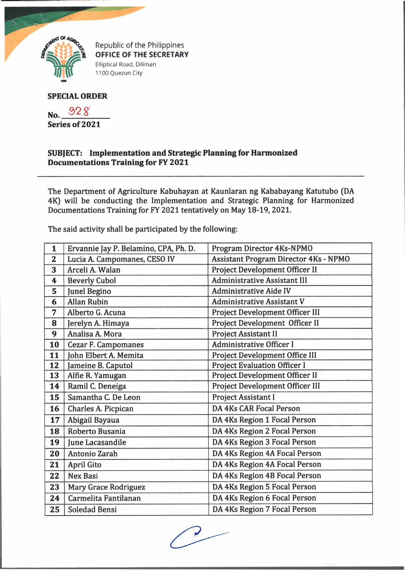

Republic of the Philippines OFFICE OF THE SECRETARY Elliptical Road, Diliman 1100 Quezon City

## **SPECIAL ORDER**

No. 928

**Series of 2021**

## **SUBJECT: Implementation and Strategic Planning for Harmonized Documentations Training for FY 2021**

The Department of Agriculture Kabuhayan at Kaunlaran ng Kababayang Katutubo (DA 4KJ will be conducting the Implementation and Strategic Planning for Harmonized Documentations Training for FY 2021 tentatively on May 18-19, 2021.

The said activity shall be participated by the following:

| 1                       | Ervannie Jay P. Belamino, CPA, Ph. D. | Program Director 4Ks-NPMO                    |
|-------------------------|---------------------------------------|----------------------------------------------|
| $\overline{\mathbf{2}}$ | Lucia A. Campomanes, CESO IV          | <b>Assistant Program Director 4Ks - NPMO</b> |
| 3                       | Arceli A. Walan                       | Project Development Officer II               |
| 4                       | <b>Beverly Cubol</b>                  | <b>Administrative Assistant III</b>          |
| 5                       | <b>Junel Begino</b>                   | <b>Administrative Aide IV</b>                |
| 6                       | <b>Allan Rubin</b>                    | <b>Administrative Assistant V</b>            |
| 7                       | Alberto G. Acuna                      | Project Development Officer III              |
| 8                       | Jerelyn A. Himaya                     | Project Development Officer II               |
| 9                       | Analisa A. Mora                       | <b>Project Assistant II</b>                  |
| 10                      | <b>Cezar F. Campomanes</b>            | <b>Administrative Officer I</b>              |
| 11                      | John Elbert A. Memita                 | Project Development Office III               |
| 12                      | Jameine B. Caputol                    | <b>Project Evaluation Officer I</b>          |
| 13                      | Alfie R. Yamugan                      | Project Development Officer II               |
| 14                      | Ramil C. Deneiga                      | Project Development Officer III              |
| 15                      | Samantha C. De Leon                   | <b>Project Assistant I</b>                   |
| 16                      | Charles A. Picpican                   | <b>DA 4Ks CAR Focal Person</b>               |
| 17                      | Abigail Bayaua                        | DA 4Ks Region 1 Focal Person                 |
| 18                      | Roberto Busania                       | DA 4Ks Region 2 Focal Person                 |
| 19                      | June Lacasandile                      | DA 4Ks Region 3 Focal Person                 |
| 20                      | Antonio Zarah                         | DA 4Ks Region 4A Focal Person                |
| 21                      | <b>April Gito</b>                     | DA 4Ks Region 4A Focal Person                |
| 22                      | <b>Nex Basi</b>                       | DA 4Ks Region 4B Focal Person                |
| 23                      | Mary Grace Rodriguez                  | DA 4Ks Region 5 Focal Person                 |
| 24                      | Carmelita Fantilanan                  | DA 4Ks Region 6 Focal Person                 |
| 25                      | <b>Soledad Bensi</b>                  | DA 4Ks Region 7 Focal Person                 |